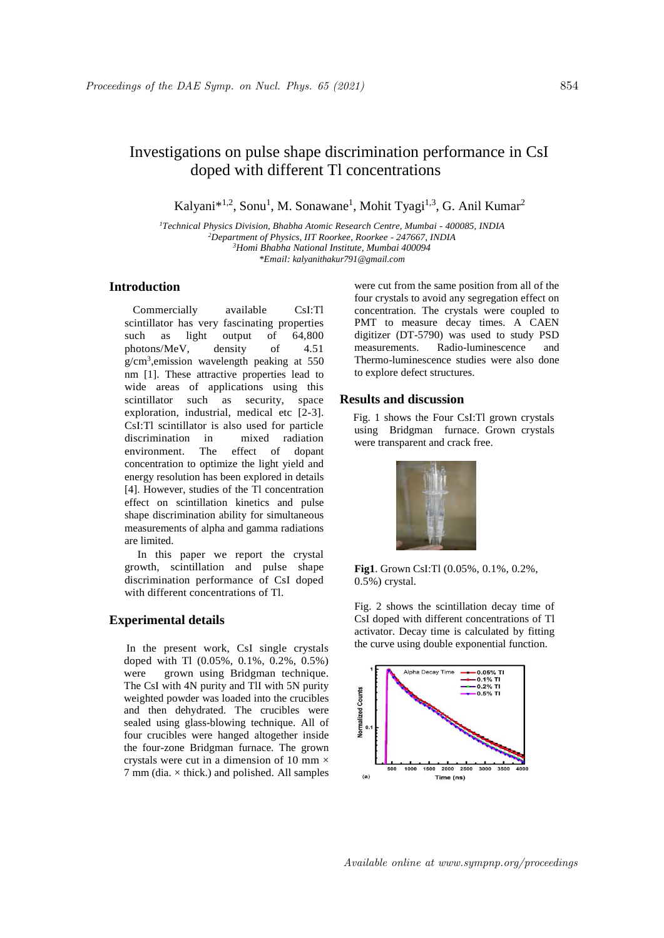# Investigations on pulse shape discrimination performance in CsI doped with different Tl concentrations

Kalyani<sup>\*1,2</sup>, Sonu<sup>1</sup>, M. Sonawane<sup>1</sup>, Mohit Tyagi<sup>1,3</sup>, G. Anil Kumar<sup>2</sup>

*Technical Physics Division, Bhabha Atomic Research Centre, Mumbai - 400085, INDIA Department of Physics, IIT Roorkee, Roorkee - 247667, INDIA Homi Bhabha National Institute, Mumbai 400094 \*Email: kalyanithakur791@gmail.com*

# **Introduction**

Commercially available CsI:Tl scintillator has very fascinating properties such as light output of 64,800 photons/MeV, density of 4.51 g/cm<sup>3</sup> ,emission wavelength peaking at 550 nm [1]. These attractive properties lead to wide areas of applications using this scintillator such as security, space exploration, industrial, medical etc [2-3]. CsI:Tl scintillator is also used for particle discrimination in mixed radiation environment. The effect of dopant concentration to optimize the light yield and energy resolution has been explored in details [4]. However, studies of the Tl concentration effect on scintillation kinetics and pulse shape discrimination ability for simultaneous measurements of alpha and gamma radiations are limited.

In this paper we report the crystal growth, scintillation and pulse shape discrimination performance of CsI doped with different concentrations of Tl.

## **Experimental details**

 In the present work, CsI single crystals doped with Tl (0.05%, 0.1%, 0.2%, 0.5%) were grown using Bridgman technique. The CsI with 4N purity and TlI with 5N purity weighted powder was loaded into the crucibles and then dehydrated. The crucibles were sealed using glass-blowing technique. All of four crucibles were hanged altogether inside the four-zone Bridgman furnace. The grown crystals were cut in a dimension of 10 mm  $\times$  $7 \text{ mm}$  (dia.  $\times$  thick.) and polished. All samples were cut from the same position from all of the four crystals to avoid any segregation effect on concentration. The crystals were coupled to PMT to measure decay times. A CAEN digitizer (DT-5790) was used to study PSD measurements. Radio-luminescence and Thermo-luminescence studies were also done to explore defect structures.

#### **Results and discussion**

 Fig. 1 shows the Four CsI:Tl grown crystals using Bridgman furnace. Grown crystals were transparent and crack free.



**Fig1**. Grown CsI:Tl (0.05%, 0.1%, 0.2%, 0.5%) crystal.

Fig. 2 shows the scintillation decay time of CsI doped with different concentrations of Tl activator. Decay time is calculated by fitting the curve using double exponential function.